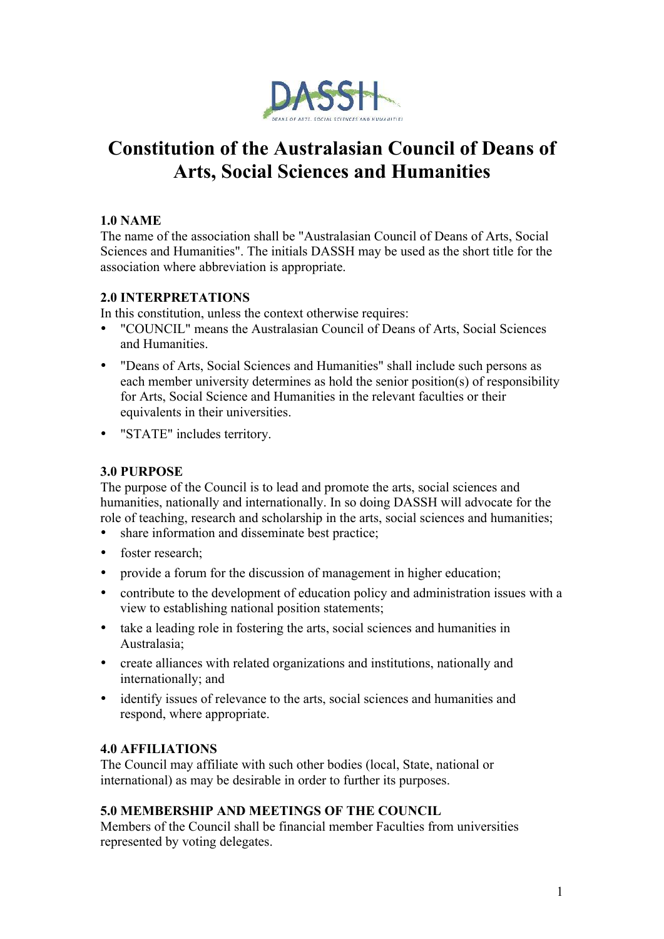

# **Constitution of the Australasian Council of Deans of Arts, Social Sciences and Humanities**

# **1.0 NAME**

The name of the association shall be "Australasian Council of Deans of Arts, Social Sciences and Humanities". The initials DASSH may be used as the short title for the association where abbreviation is appropriate.

# **2.0 INTERPRETATIONS**

In this constitution, unless the context otherwise requires:

- "COUNCIL" means the Australasian Council of Deans of Arts, Social Sciences and Humanities.
- "Deans of Arts, Social Sciences and Humanities" shall include such persons as each member university determines as hold the senior position(s) of responsibility for Arts, Social Science and Humanities in the relevant faculties or their equivalents in their universities.
- "STATE" includes territory.

# **3.0 PURPOSE**

The purpose of the Council is to lead and promote the arts, social sciences and humanities, nationally and internationally. In so doing DASSH will advocate for the role of teaching, research and scholarship in the arts, social sciences and humanities;

- share information and disseminate best practice;
- foster research;
- provide a forum for the discussion of management in higher education;
- contribute to the development of education policy and administration issues with a view to establishing national position statements;
- take a leading role in fostering the arts, social sciences and humanities in Australasia;
- create alliances with related organizations and institutions, nationally and internationally; and
- identify issues of relevance to the arts, social sciences and humanities and respond, where appropriate.

# **4.0 AFFILIATIONS**

The Council may affiliate with such other bodies (local, State, national or international) as may be desirable in order to further its purposes.

# **5.0 MEMBERSHIP AND MEETINGS OF THE COUNCIL**

Members of the Council shall be financial member Faculties from universities represented by voting delegates.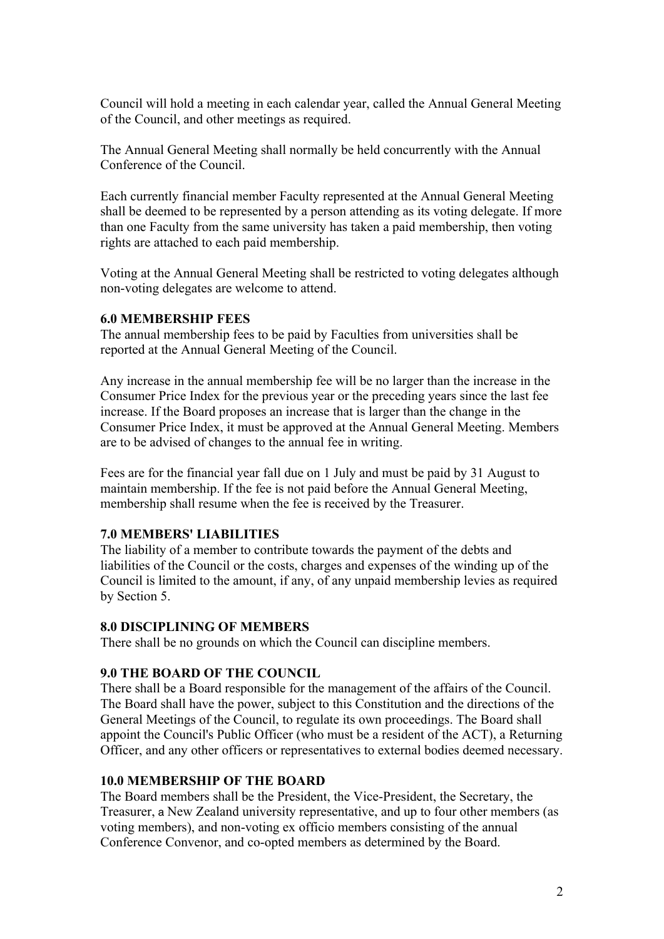Council will hold a meeting in each calendar year, called the Annual General Meeting of the Council, and other meetings as required.

The Annual General Meeting shall normally be held concurrently with the Annual Conference of the Council.

Each currently financial member Faculty represented at the Annual General Meeting shall be deemed to be represented by a person attending as its voting delegate. If more than one Faculty from the same university has taken a paid membership, then voting rights are attached to each paid membership.

Voting at the Annual General Meeting shall be restricted to voting delegates although non-voting delegates are welcome to attend.

#### **6.0 MEMBERSHIP FEES**

The annual membership fees to be paid by Faculties from universities shall be reported at the Annual General Meeting of the Council.

Any increase in the annual membership fee will be no larger than the increase in the Consumer Price Index for the previous year or the preceding years since the last fee increase. If the Board proposes an increase that is larger than the change in the Consumer Price Index, it must be approved at the Annual General Meeting. Members are to be advised of changes to the annual fee in writing.

Fees are for the financial year fall due on 1 July and must be paid by 31 August to maintain membership. If the fee is not paid before the Annual General Meeting, membership shall resume when the fee is received by the Treasurer.

## **7.0 MEMBERS' LIABILITIES**

The liability of a member to contribute towards the payment of the debts and liabilities of the Council or the costs, charges and expenses of the winding up of the Council is limited to the amount, if any, of any unpaid membership levies as required by Section 5.

#### **8.0 DISCIPLINING OF MEMBERS**

There shall be no grounds on which the Council can discipline members.

#### **9.0 THE BOARD OF THE COUNCIL**

There shall be a Board responsible for the management of the affairs of the Council. The Board shall have the power, subject to this Constitution and the directions of the General Meetings of the Council, to regulate its own proceedings. The Board shall appoint the Council's Public Officer (who must be a resident of the ACT), a Returning Officer, and any other officers or representatives to external bodies deemed necessary.

#### **10.0 MEMBERSHIP OF THE BOARD**

The Board members shall be the President, the Vice-President, the Secretary, the Treasurer, a New Zealand university representative, and up to four other members (as voting members), and non-voting ex officio members consisting of the annual Conference Convenor, and co-opted members as determined by the Board.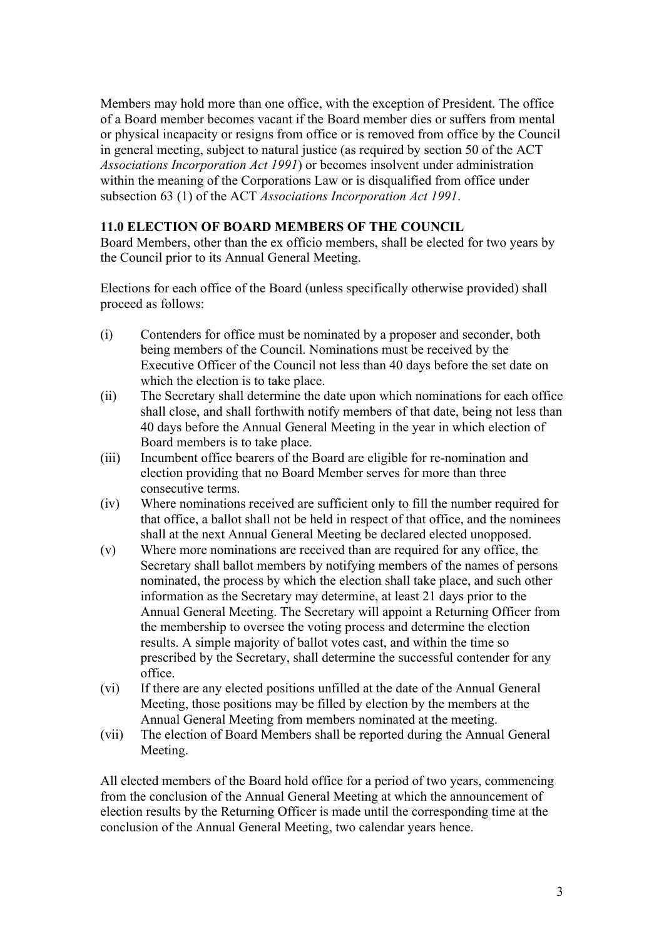Members may hold more than one office, with the exception of President. The office of a Board member becomes vacant if the Board member dies or suffers from mental or physical incapacity or resigns from office or is removed from office by the Council in general meeting, subject to natural justice (as required by section 50 of the ACT *Associations Incorporation Act 1991*) or becomes insolvent under administration within the meaning of the Corporations Law or is disqualified from office under subsection 63 (1) of the ACT *Associations Incorporation Act 1991*.

# **11.0 ELECTION OF BOARD MEMBERS OF THE COUNCIL**

Board Members, other than the ex officio members, shall be elected for two years by the Council prior to its Annual General Meeting.

Elections for each office of the Board (unless specifically otherwise provided) shall proceed as follows:

- (i) Contenders for office must be nominated by a proposer and seconder, both being members of the Council. Nominations must be received by the Executive Officer of the Council not less than 40 days before the set date on which the election is to take place.
- (ii) The Secretary shall determine the date upon which nominations for each office shall close, and shall forthwith notify members of that date, being not less than 40 days before the Annual General Meeting in the year in which election of Board members is to take place.
- (iii) Incumbent office bearers of the Board are eligible for re-nomination and election providing that no Board Member serves for more than three consecutive terms.
- (iv) Where nominations received are sufficient only to fill the number required for that office, a ballot shall not be held in respect of that office, and the nominees shall at the next Annual General Meeting be declared elected unopposed.
- (v) Where more nominations are received than are required for any office, the Secretary shall ballot members by notifying members of the names of persons nominated, the process by which the election shall take place, and such other information as the Secretary may determine, at least 21 days prior to the Annual General Meeting. The Secretary will appoint a Returning Officer from the membership to oversee the voting process and determine the election results. A simple majority of ballot votes cast, and within the time so prescribed by the Secretary, shall determine the successful contender for any office.
- (vi) If there are any elected positions unfilled at the date of the Annual General Meeting, those positions may be filled by election by the members at the Annual General Meeting from members nominated at the meeting.
- (vii) The election of Board Members shall be reported during the Annual General Meeting.

All elected members of the Board hold office for a period of two years, commencing from the conclusion of the Annual General Meeting at which the announcement of election results by the Returning Officer is made until the corresponding time at the conclusion of the Annual General Meeting, two calendar years hence.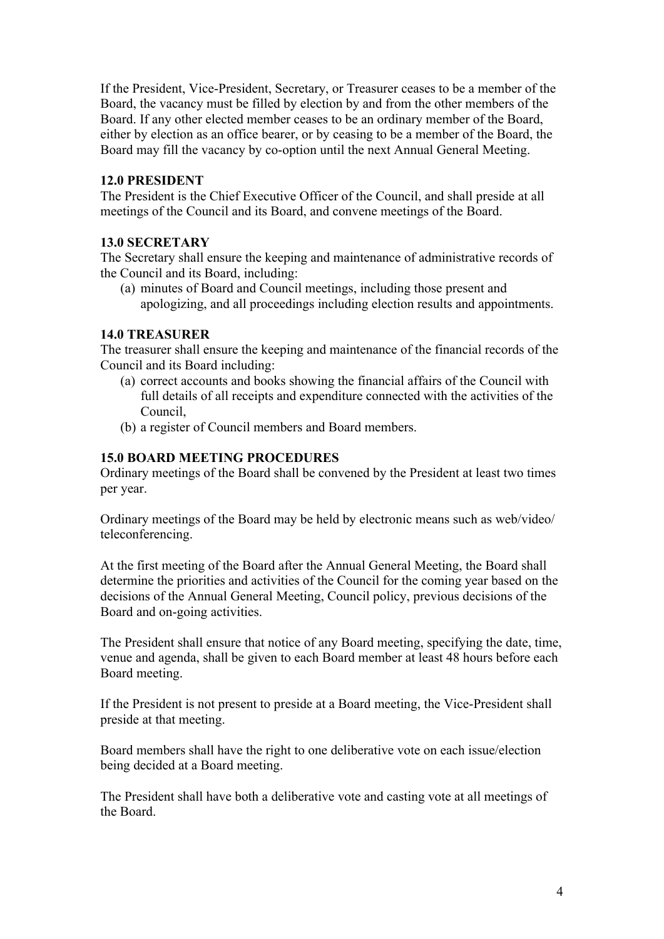If the President, Vice-President, Secretary, or Treasurer ceases to be a member of the Board, the vacancy must be filled by election by and from the other members of the Board. If any other elected member ceases to be an ordinary member of the Board, either by election as an office bearer, or by ceasing to be a member of the Board, the Board may fill the vacancy by co-option until the next Annual General Meeting.

## **12.0 PRESIDENT**

The President is the Chief Executive Officer of the Council, and shall preside at all meetings of the Council and its Board, and convene meetings of the Board.

## **13.0 SECRETARY**

The Secretary shall ensure the keeping and maintenance of administrative records of the Council and its Board, including:

(a) minutes of Board and Council meetings, including those present and apologizing, and all proceedings including election results and appointments.

## **14.0 TREASURER**

The treasurer shall ensure the keeping and maintenance of the financial records of the Council and its Board including:

- (a) correct accounts and books showing the financial affairs of the Council with full details of all receipts and expenditure connected with the activities of the Council,
- (b) a register of Council members and Board members.

#### **15.0 BOARD MEETING PROCEDURES**

Ordinary meetings of the Board shall be convened by the President at least two times per year.

Ordinary meetings of the Board may be held by electronic means such as web/video/ teleconferencing.

At the first meeting of the Board after the Annual General Meeting, the Board shall determine the priorities and activities of the Council for the coming year based on the decisions of the Annual General Meeting, Council policy, previous decisions of the Board and on-going activities.

The President shall ensure that notice of any Board meeting, specifying the date, time, venue and agenda, shall be given to each Board member at least 48 hours before each Board meeting.

If the President is not present to preside at a Board meeting, the Vice-President shall preside at that meeting.

Board members shall have the right to one deliberative vote on each issue/election being decided at a Board meeting.

The President shall have both a deliberative vote and casting vote at all meetings of the Board.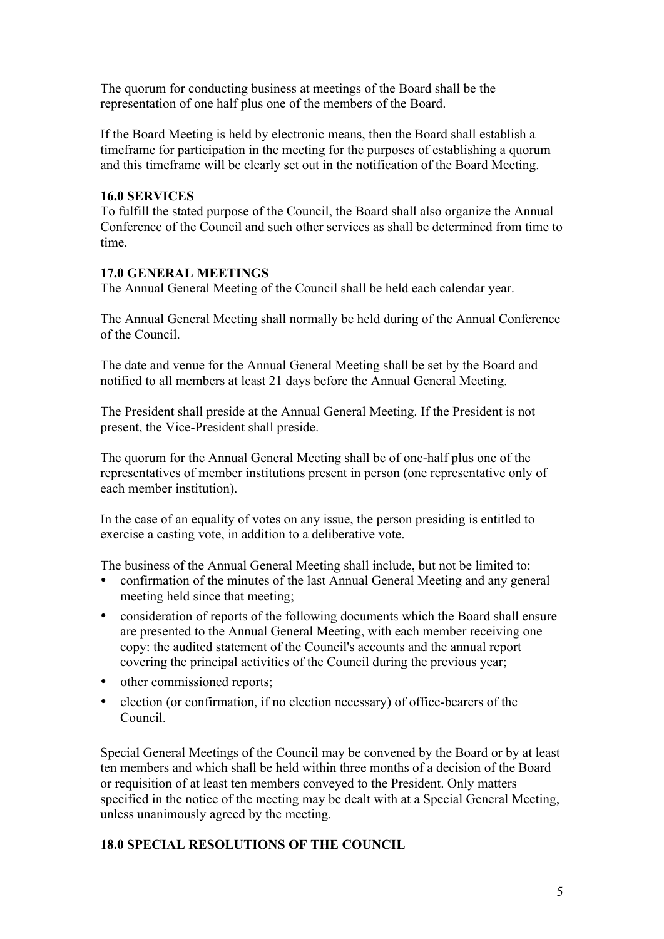The quorum for conducting business at meetings of the Board shall be the representation of one half plus one of the members of the Board.

If the Board Meeting is held by electronic means, then the Board shall establish a timeframe for participation in the meeting for the purposes of establishing a quorum and this timeframe will be clearly set out in the notification of the Board Meeting.

## **16.0 SERVICES**

To fulfill the stated purpose of the Council, the Board shall also organize the Annual Conference of the Council and such other services as shall be determined from time to time.

# **17.0 GENERAL MEETINGS**

The Annual General Meeting of the Council shall be held each calendar year.

The Annual General Meeting shall normally be held during of the Annual Conference of the Council.

The date and venue for the Annual General Meeting shall be set by the Board and notified to all members at least 21 days before the Annual General Meeting.

The President shall preside at the Annual General Meeting. If the President is not present, the Vice-President shall preside.

The quorum for the Annual General Meeting shall be of one-half plus one of the representatives of member institutions present in person (one representative only of each member institution).

In the case of an equality of votes on any issue, the person presiding is entitled to exercise a casting vote, in addition to a deliberative vote.

The business of the Annual General Meeting shall include, but not be limited to:

- confirmation of the minutes of the last Annual General Meeting and any general meeting held since that meeting;
- consideration of reports of the following documents which the Board shall ensure are presented to the Annual General Meeting, with each member receiving one copy: the audited statement of the Council's accounts and the annual report covering the principal activities of the Council during the previous year;
- other commissioned reports;
- election (or confirmation, if no election necessary) of office-bearers of the Council.

Special General Meetings of the Council may be convened by the Board or by at least ten members and which shall be held within three months of a decision of the Board or requisition of at least ten members conveyed to the President. Only matters specified in the notice of the meeting may be dealt with at a Special General Meeting, unless unanimously agreed by the meeting.

# **18.0 SPECIAL RESOLUTIONS OF THE COUNCIL**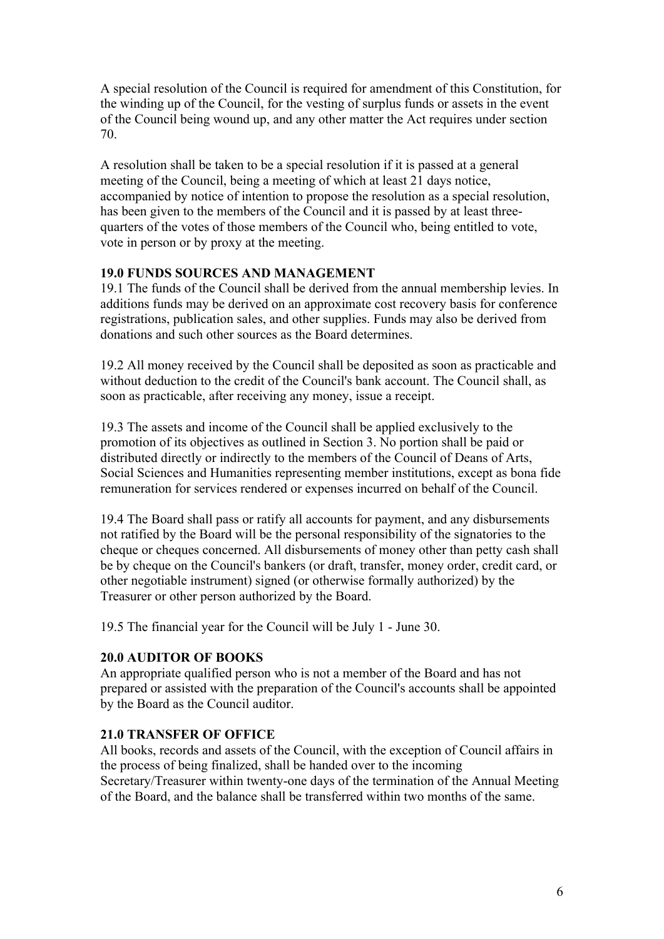A special resolution of the Council is required for amendment of this Constitution, for the winding up of the Council, for the vesting of surplus funds or assets in the event of the Council being wound up, and any other matter the Act requires under section 70.

A resolution shall be taken to be a special resolution if it is passed at a general meeting of the Council, being a meeting of which at least 21 days notice, accompanied by notice of intention to propose the resolution as a special resolution, has been given to the members of the Council and it is passed by at least threequarters of the votes of those members of the Council who, being entitled to vote, vote in person or by proxy at the meeting.

# **19.0 FUNDS SOURCES AND MANAGEMENT**

19.1 The funds of the Council shall be derived from the annual membership levies. In additions funds may be derived on an approximate cost recovery basis for conference registrations, publication sales, and other supplies. Funds may also be derived from donations and such other sources as the Board determines.

19.2 All money received by the Council shall be deposited as soon as practicable and without deduction to the credit of the Council's bank account. The Council shall, as soon as practicable, after receiving any money, issue a receipt.

19.3 The assets and income of the Council shall be applied exclusively to the promotion of its objectives as outlined in Section 3. No portion shall be paid or distributed directly or indirectly to the members of the Council of Deans of Arts, Social Sciences and Humanities representing member institutions, except as bona fide remuneration for services rendered or expenses incurred on behalf of the Council.

19.4 The Board shall pass or ratify all accounts for payment, and any disbursements not ratified by the Board will be the personal responsibility of the signatories to the cheque or cheques concerned. All disbursements of money other than petty cash shall be by cheque on the Council's bankers (or draft, transfer, money order, credit card, or other negotiable instrument) signed (or otherwise formally authorized) by the Treasurer or other person authorized by the Board.

19.5 The financial year for the Council will be July 1 - June 30.

# **20.0 AUDITOR OF BOOKS**

An appropriate qualified person who is not a member of the Board and has not prepared or assisted with the preparation of the Council's accounts shall be appointed by the Board as the Council auditor.

# **21.0 TRANSFER OF OFFICE**

All books, records and assets of the Council, with the exception of Council affairs in the process of being finalized, shall be handed over to the incoming Secretary/Treasurer within twenty-one days of the termination of the Annual Meeting of the Board, and the balance shall be transferred within two months of the same.